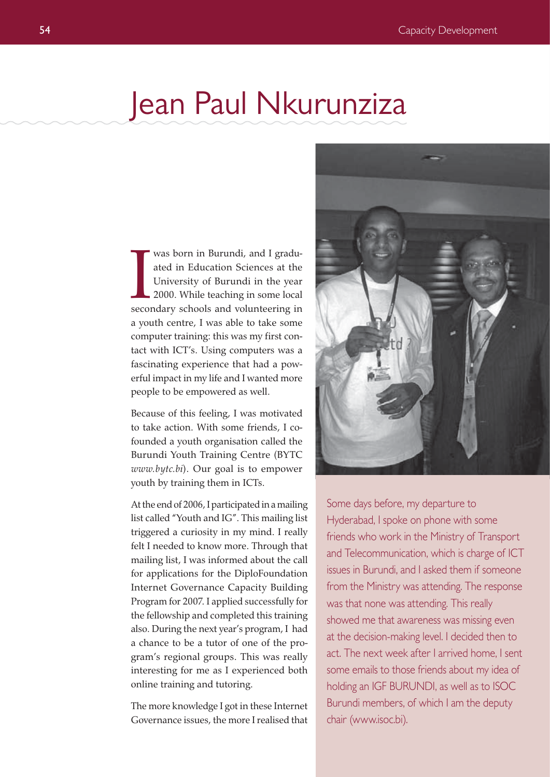## Jean Paul Nkurunziza

I was born in Burundi, and I graduated in Education Sciences at the University of Burundi in the year 2000. While teaching in some local secondary schools and volunteering in ated in Education Sciences at the University of Burundi in the year 2000. While teaching in some local a youth centre, I was able to take some computer training: this was my first contact with ICT's. Using computers was a fascinating experience that had a powerful impact in my life and I wanted more people to be empowered as well.

Because of this feeling, I was motivated to take action. With some friends, I cofounded a youth organisation called the Burundi Youth Training Centre (BYTC *www.bytc.bi*). Our goal is to empower youth by training them in ICTs.

At the end of 2006, I participated in a mailing list called "Youth and IG". This mailing list triggered a curiosity in my mind. I really felt I needed to know more. Through that mailing list, I was informed about the call for applications for the DiploFoundation Internet Governance Capacity Building Program for 2007. I applied successfully for the fellowship and completed this training also. During the next year's program, I had a chance to be a tutor of one of the program's regional groups. This was really interesting for me as I experienced both online training and tutoring.

The more knowledge I got in these Internet Governance issues, the more I realised that



Some days before, my departure to Hyderabad, I spoke on phone with some friends who work in the Ministry of Transport and Telecommunication, which is charge of ICT issues in Burundi, and I asked them if someone from the Ministry was attending. The response was that none was attending. This really showed me that awareness was missing even at the decision-making level. I decided then to act. The next week after I arrived home, I sent some emails to those friends about my idea of holding an IGF BURUNDI, as well as to ISOC Burundi members, of which I am the deputy chair (www.isoc.bi).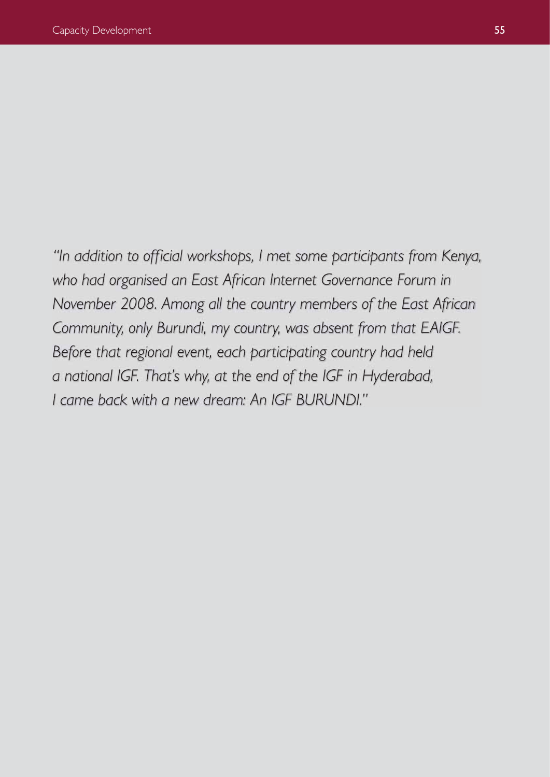"In addition to official workshops, I met some participants from Kenya, who had organised an East African Internet Governance Forum in November 2008. Among all the country members of the East African Community, only Burundi, my country, was absent from that EAIGF. Before that regional event, each participating country had held a national IGF. That's why, at the end of the IGF in Hyderabad, I came back with a new dream: An IGF BURUNDI."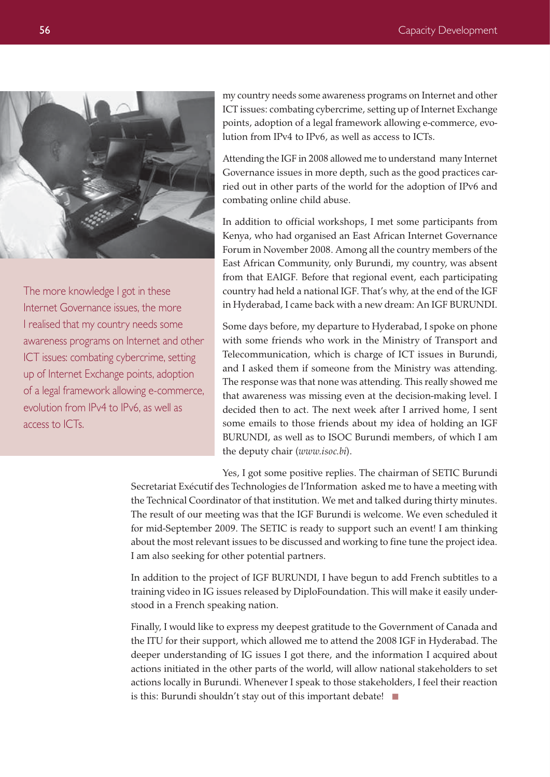

The more knowledge I got in these Internet Governance issues, the more I realised that my country needs some awareness programs on Internet and other ICT issues: combating cybercrime, setting up of Internet Exchange points, adoption of a legal framework allowing e-commerce, evolution from IPv4 to IPv6, as well as access to ICTs.

my country needs some awareness programs on Internet and other ICT issues: combating cybercrime, setting up of Internet Exchange points, adoption of a legal framework allowing e-commerce, evolution from IPv4 to IPv6, as well as access to ICTs.

Attending the IGF in 2008 allowed me to understand many Internet Governance issues in more depth, such as the good practices carried out in other parts of the world for the adoption of IPv6 and combating online child abuse.

In addition to official workshops, I met some participants from Kenya, who had organised an East African Internet Governance Forum in November 2008. Among all the country members of the East African Community, only Burundi, my country, was absent from that EAIGF. Before that regional event, each participating country had held a national IGF. That's why, at the end of the IGF in Hyderabad, I came back with a new dream: An IGF BURUNDI.

Some days before, my departure to Hyderabad, I spoke on phone with some friends who work in the Ministry of Transport and Telecommunication, which is charge of ICT issues in Burundi, and I asked them if someone from the Ministry was attending. The response was that none was attending. This really showed me that awareness was missing even at the decision-making level. I decided then to act. The next week after I arrived home, I sent some emails to those friends about my idea of holding an IGF BURUNDI, as well as to ISOC Burundi members, of which I am the deputy chair (*www.isoc.bi*).

Yes, I got some positive replies. The chairman of SETIC Burundi Secretariat Exécutif des Technologies de l'Information asked me to have a meeting with the Technical Coordinator of that institution. We met and talked during thirty minutes. The result of our meeting was that the IGF Burundi is welcome. We even scheduled it for mid-September 2009. The SETIC is ready to support such an event! I am thinking about the most relevant issues to be discussed and working to fine tune the project idea. I am also seeking for other potential partners.

In addition to the project of IGF BURUNDI, I have begun to add French subtitles to a training video in IG issues released by DiploFoundation. This will make it easily understood in a French speaking nation.

Finally, I would like to express my deepest gratitude to the Government of Canada and the ITU for their support, which allowed me to attend the 2008 IGF in Hyderabad. The deeper understanding of IG issues I got there, and the information I acquired about actions initiated in the other parts of the world, will allow national stakeholders to set actions locally in Burundi. Whenever I speak to those stakeholders, I feel their reaction is this: Burundi shouldn't stay out of this important debate!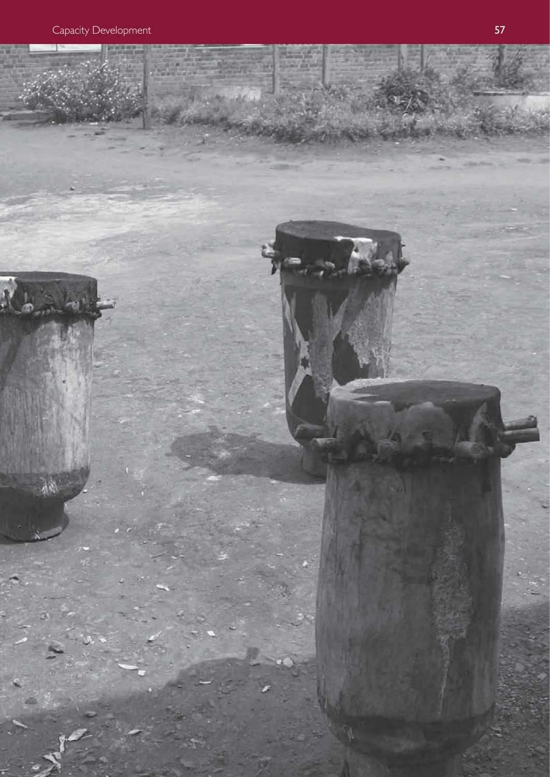